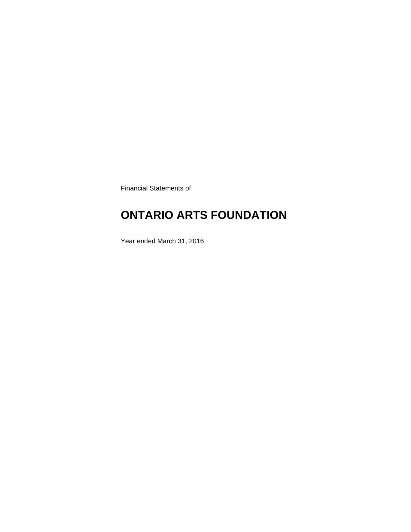Financial Statements of

# **ONTARIO ARTS FOUNDATION**

Year ended March 31, 2016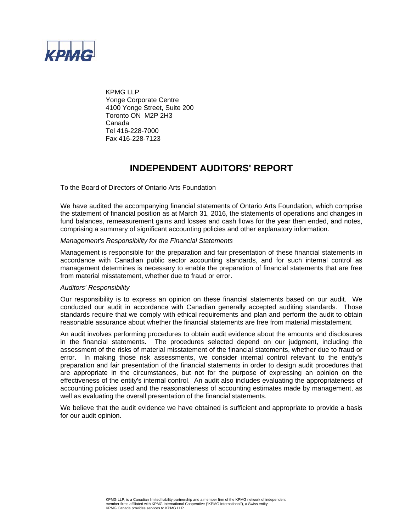

KPMG LLP Yonge Corporate Centre 4100 Yonge Street, Suite 200 Toronto ON M2P 2H3 Canada Tel 416-228-7000 Fax 416-228-7123

### **INDEPENDENT AUDITORS' REPORT**

To the Board of Directors of Ontario Arts Foundation

We have audited the accompanying financial statements of Ontario Arts Foundation, which comprise the statement of financial position as at March 31, 2016, the statements of operations and changes in fund balances, remeasurement gains and losses and cash flows for the year then ended, and notes, comprising a summary of significant accounting policies and other explanatory information.

#### *Management's Responsibility for the Financial Statements*

Management is responsible for the preparation and fair presentation of these financial statements in accordance with Canadian public sector accounting standards, and for such internal control as management determines is necessary to enable the preparation of financial statements that are free from material misstatement, whether due to fraud or error.

#### *Auditors' Responsibility*

Our responsibility is to express an opinion on these financial statements based on our audit. We conducted our audit in accordance with Canadian generally accepted auditing standards. Those standards require that we comply with ethical requirements and plan and perform the audit to obtain reasonable assurance about whether the financial statements are free from material misstatement.

An audit involves performing procedures to obtain audit evidence about the amounts and disclosures in the financial statements. The procedures selected depend on our judgment, including the assessment of the risks of material misstatement of the financial statements, whether due to fraud or error. In making those risk assessments, we consider internal control relevant to the entity's preparation and fair presentation of the financial statements in order to design audit procedures that are appropriate in the circumstances, but not for the purpose of expressing an opinion on the effectiveness of the entity's internal control. An audit also includes evaluating the appropriateness of accounting policies used and the reasonableness of accounting estimates made by management, as well as evaluating the overall presentation of the financial statements.

We believe that the audit evidence we have obtained is sufficient and appropriate to provide a basis for our audit opinion.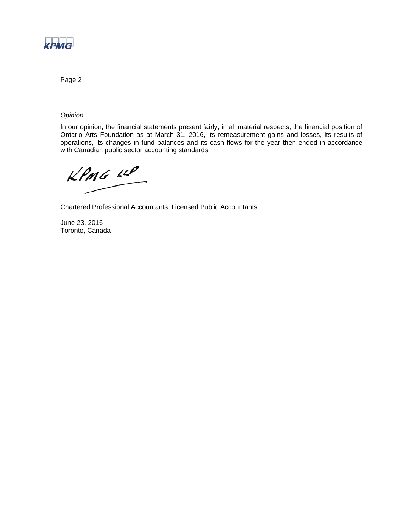

Page 2

#### *Opinion*

In our opinion, the financial statements present fairly, in all material respects, the financial position of Ontario Arts Foundation as at March 31, 2016, its remeasurement gains and losses, its results of operations, its changes in fund balances and its cash flows for the year then ended in accordance with Canadian public sector accounting standards.

 $KPMG$  14P

Chartered Professional Accountants, Licensed Public Accountants

June 23, 2016 Toronto, Canada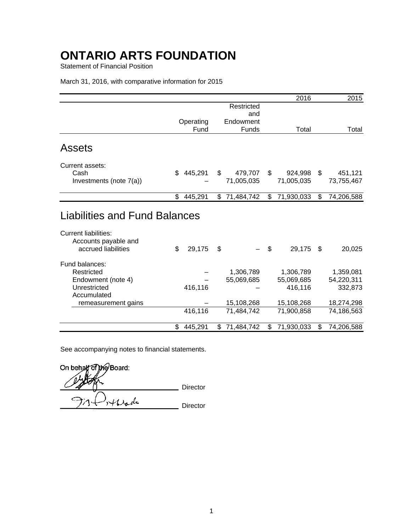Statement of Financial Position

#### March 31, 2016, with comparative information for 2015

|                                                              |     |           |                  | 2016             | 2015             |
|--------------------------------------------------------------|-----|-----------|------------------|------------------|------------------|
|                                                              |     |           | Restricted       |                  |                  |
|                                                              |     |           | and              |                  |                  |
|                                                              |     | Operating | Endowment        |                  |                  |
|                                                              |     | Fund      | Funds            | Total            | Total            |
| <b>Assets</b>                                                |     |           |                  |                  |                  |
| Current assets:                                              |     |           |                  |                  |                  |
| Cash                                                         | \$. | 445,291   | \$<br>479,707    | \$<br>924,998    | \$<br>451,121    |
| Investments (note 7(a))                                      |     |           | 71,005,035       | 71,005,035       | 73,755,467       |
|                                                              | \$  | 445,291   | \$<br>71,484,742 | \$<br>71,930,033 | \$<br>74,206,588 |
| Liabilities and Fund Balances<br><b>Current liabilities:</b> |     |           |                  |                  |                  |
| Accounts payable and<br>accrued liabilities                  | \$  | 29,175    | \$               | \$<br>29,175     | \$<br>20,025     |
| Fund balances:                                               |     |           |                  |                  |                  |
| Restricted                                                   |     |           | 1,306,789        | 1,306,789        | 1,359,081        |
| Endowment (note 4)                                           |     |           | 55,069,685       | 55,069,685       | 54,220,311       |
| Unrestricted                                                 |     | 416,116   |                  | 416,116          | 332,873          |
| Accumulated                                                  |     |           |                  |                  |                  |
| remeasurement gains                                          |     |           | 15,108,268       | 15,108,268       | 18,274,298       |
|                                                              |     | 416,116   | 71,484,742       | 71,900,858       | 74,186,563       |
|                                                              |     | \$445,291 | \$<br>71,484,742 | \$<br>71,930,033 | \$<br>74,206,588 |

On behalf of the Board: Director  $B_1 + B_2$  de Director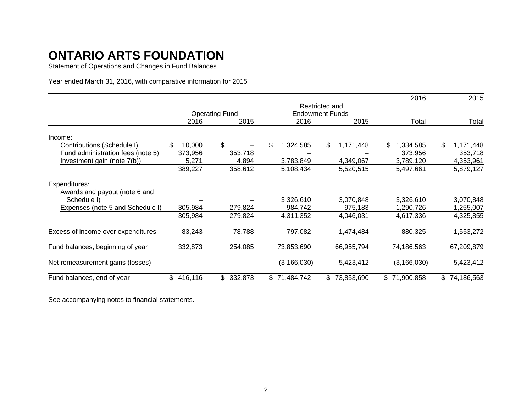Statement of Operations and Changes in Fund Balances

Year ended March 31, 2016, with comparative information for 2015

|                                    |             |                       |                 |                        | 2016            | 2015            |
|------------------------------------|-------------|-----------------------|-----------------|------------------------|-----------------|-----------------|
|                                    |             |                       |                 | Restricted and         |                 |                 |
|                                    |             | <b>Operating Fund</b> |                 | <b>Endowment Funds</b> |                 |                 |
|                                    | 2016        | 2015                  | 2016            | 2015                   | Total           | Total           |
| Income:                            |             |                       |                 |                        |                 |                 |
| Contributions (Schedule I)         | 10,000<br>S | \$                    | \$<br>1,324,585 | 1,171,448<br>\$        | 1,334,585<br>S. | \$<br>1,171,448 |
| Fund administration fees (note 5)  | 373,956     | 353,718               |                 |                        | 373,956         | 353,718         |
| Investment gain (note 7(b))        | 5,271       | 4,894                 | 3,783,849       | 4,349,067              | 3,789,120       | 4,353,961       |
|                                    | 389,227     | 358,612               | 5,108,434       | 5,520,515              | 5,497,661       | 5,879,127       |
| Expenditures:                      |             |                       |                 |                        |                 |                 |
| Awards and payout (note 6 and      |             |                       |                 |                        |                 |                 |
| Schedule I)                        |             |                       | 3,326,610       | 3,070,848              | 3,326,610       | 3,070,848       |
| Expenses (note 5 and Schedule I)   | 305,984     | 279,824               | 984,742         | 975,183                | 1,290,726       | 1,255,007       |
|                                    | 305,984     | 279,824               | 4,311,352       | 4,046,031              | 4,617,336       | 4,325,855       |
| Excess of income over expenditures | 83,243      | 78,788                | 797,082         | 1,474,484              | 880,325         | 1,553,272       |
| Fund balances, beginning of year   | 332,873     | 254,085               | 73,853,690      | 66,955,794             | 74,186,563      | 67,209,879      |
| Net remeasurement gains (losses)   |             |                       | (3, 166, 030)   | 5,423,412              | (3, 166, 030)   | 5,423,412       |
| Fund balances, end of year         | \$416,116   | 332,873<br>\$         | \$71,484,742    | \$73,853,690           | \$71,900,858    | \$74,186,563    |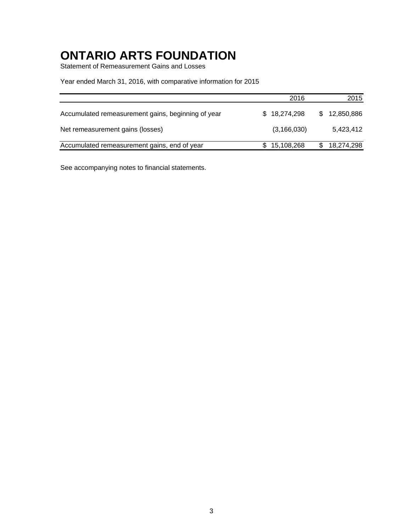Statement of Remeasurement Gains and Losses

#### Year ended March 31, 2016, with comparative information for 2015

|                                                    | 2016          | 2015         |
|----------------------------------------------------|---------------|--------------|
| Accumulated remeasurement gains, beginning of year | \$18,274,298  | \$12,850,886 |
| Net remeasurement gains (losses)                   | (3, 166, 030) | 5,423,412    |
| Accumulated remeasurement gains, end of year       | 15,108,268    | 18,274,298   |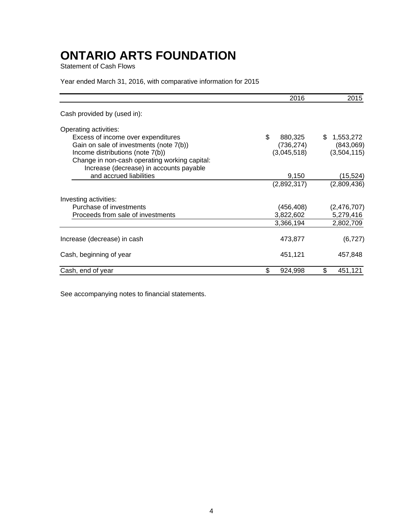Statement of Cash Flows

### Year ended March 31, 2016, with comparative information for 2015

|                                                                                          | 2016          | 2015            |
|------------------------------------------------------------------------------------------|---------------|-----------------|
| Cash provided by (used in):                                                              |               |                 |
| Operating activities:                                                                    |               |                 |
| Excess of income over expenditures                                                       | \$<br>880,325 | 1,553,272<br>\$ |
| Gain on sale of investments (note 7(b))                                                  | (736, 274)    | (843,069)       |
| Income distributions (note 7(b))                                                         | (3,045,518)   | (3,504,115)     |
| Change in non-cash operating working capital:<br>Increase (decrease) in accounts payable |               |                 |
| and accrued liabilities                                                                  | 9,150         | (15,524)        |
|                                                                                          | (2,892,317)   | (2,809,436)     |
| Investing activities:                                                                    |               |                 |
| Purchase of investments                                                                  | (456, 408)    | (2,476,707)     |
| Proceeds from sale of investments                                                        | 3,822,602     | 5,279,416       |
|                                                                                          | 3,366,194     | 2,802,709       |
| Increase (decrease) in cash                                                              | 473,877       | (6, 727)        |
| Cash, beginning of year                                                                  | 451,121       | 457,848         |
| Cash, end of year                                                                        | \$<br>924,998 | \$<br>451,121   |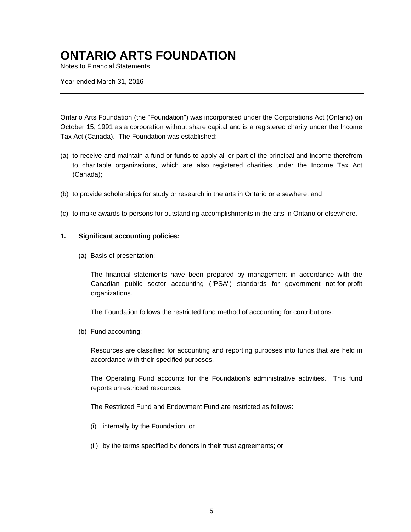Notes to Financial Statements

Year ended March 31, 2016

Ontario Arts Foundation (the "Foundation") was incorporated under the Corporations Act (Ontario) on October 15, 1991 as a corporation without share capital and is a registered charity under the Income Tax Act (Canada). The Foundation was established:

- (a) to receive and maintain a fund or funds to apply all or part of the principal and income therefrom to charitable organizations, which are also registered charities under the Income Tax Act (Canada);
- (b) to provide scholarships for study or research in the arts in Ontario or elsewhere; and
- (c) to make awards to persons for outstanding accomplishments in the arts in Ontario or elsewhere.

#### **1. Significant accounting policies:**

(a) Basis of presentation:

The financial statements have been prepared by management in accordance with the Canadian public sector accounting ("PSA") standards for government not-for-profit organizations.

The Foundation follows the restricted fund method of accounting for contributions.

(b) Fund accounting:

Resources are classified for accounting and reporting purposes into funds that are held in accordance with their specified purposes.

The Operating Fund accounts for the Foundation's administrative activities. This fund reports unrestricted resources.

The Restricted Fund and Endowment Fund are restricted as follows:

- (i) internally by the Foundation; or
- (ii) by the terms specified by donors in their trust agreements; or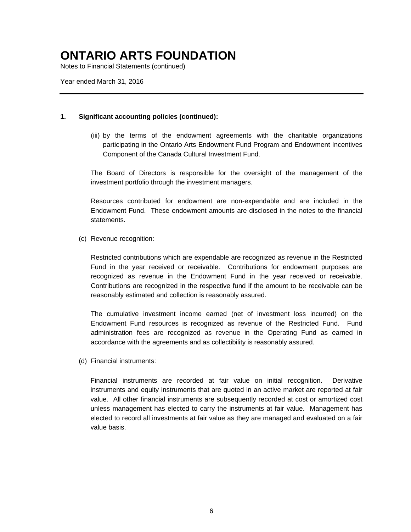Notes to Financial Statements (continued)

Year ended March 31, 2016

#### **1. Significant accounting policies (continued):**

(iii) by the terms of the endowment agreements with the charitable organizations participating in the Ontario Arts Endowment Fund Program and Endowment Incentives Component of the Canada Cultural Investment Fund.

The Board of Directors is responsible for the oversight of the management of the investment portfolio through the investment managers.

Resources contributed for endowment are non-expendable and are included in the Endowment Fund. These endowment amounts are disclosed in the notes to the financial statements.

#### (c) Revenue recognition:

Restricted contributions which are expendable are recognized as revenue in the Restricted Fund in the year received or receivable. Contributions for endowment purposes are recognized as revenue in the Endowment Fund in the year received or receivable. Contributions are recognized in the respective fund if the amount to be receivable can be reasonably estimated and collection is reasonably assured.

The cumulative investment income earned (net of investment loss incurred) on the Endowment Fund resources is recognized as revenue of the Restricted Fund. Fund administration fees are recognized as revenue in the Operating Fund as earned in accordance with the agreements and as collectibility is reasonably assured.

(d) Financial instruments:

Financial instruments are recorded at fair value on initial recognition. Derivative instruments and equity instruments that are quoted in an active market are reported at fair value. All other financial instruments are subsequently recorded at cost or amortized cost unless management has elected to carry the instruments at fair value. Management has elected to record all investments at fair value as they are managed and evaluated on a fair value basis.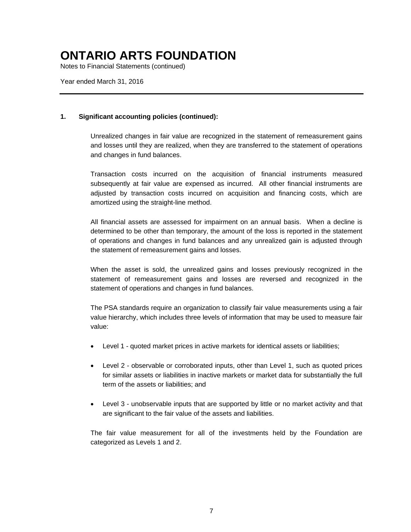Notes to Financial Statements (continued)

Year ended March 31, 2016

#### **1. Significant accounting policies (continued):**

Unrealized changes in fair value are recognized in the statement of remeasurement gains and losses until they are realized, when they are transferred to the statement of operations and changes in fund balances.

Transaction costs incurred on the acquisition of financial instruments measured subsequently at fair value are expensed as incurred. All other financial instruments are adjusted by transaction costs incurred on acquisition and financing costs, which are amortized using the straight-line method.

All financial assets are assessed for impairment on an annual basis. When a decline is determined to be other than temporary, the amount of the loss is reported in the statement of operations and changes in fund balances and any unrealized gain is adjusted through the statement of remeasurement gains and losses.

When the asset is sold, the unrealized gains and losses previously recognized in the statement of remeasurement gains and losses are reversed and recognized in the statement of operations and changes in fund balances.

The PSA standards require an organization to classify fair value measurements using a fair value hierarchy, which includes three levels of information that may be used to measure fair value:

- Level 1 quoted market prices in active markets for identical assets or liabilities;
- Level 2 observable or corroborated inputs, other than Level 1, such as quoted prices for similar assets or liabilities in inactive markets or market data for substantially the full term of the assets or liabilities; and
- Level 3 unobservable inputs that are supported by little or no market activity and that are significant to the fair value of the assets and liabilities.

The fair value measurement for all of the investments held by the Foundation are categorized as Levels 1 and 2.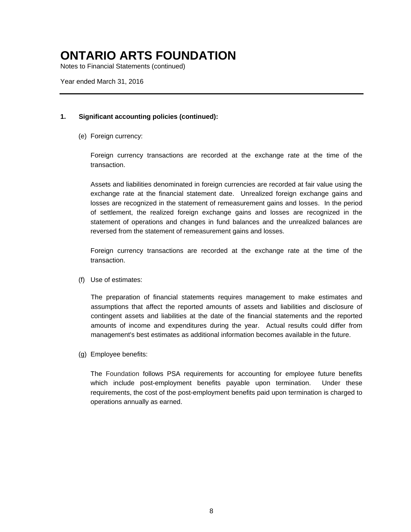Notes to Financial Statements (continued)

Year ended March 31, 2016

#### **1. Significant accounting policies (continued):**

(e) Foreign currency:

Foreign currency transactions are recorded at the exchange rate at the time of the transaction.

Assets and liabilities denominated in foreign currencies are recorded at fair value using the exchange rate at the financial statement date. Unrealized foreign exchange gains and losses are recognized in the statement of remeasurement gains and losses. In the period of settlement, the realized foreign exchange gains and losses are recognized in the statement of operations and changes in fund balances and the unrealized balances are reversed from the statement of remeasurement gains and losses.

Foreign currency transactions are recorded at the exchange rate at the time of the transaction.

(f) Use of estimates:

The preparation of financial statements requires management to make estimates and assumptions that affect the reported amounts of assets and liabilities and disclosure of contingent assets and liabilities at the date of the financial statements and the reported amounts of income and expenditures during the year. Actual results could differ from management's best estimates as additional information becomes available in the future.

(g) Employee benefits:

The Foundation follows PSA requirements for accounting for employee future benefits which include post-employment benefits payable upon termination. Under these requirements, the cost of the post-employment benefits paid upon termination is charged to operations annually as earned.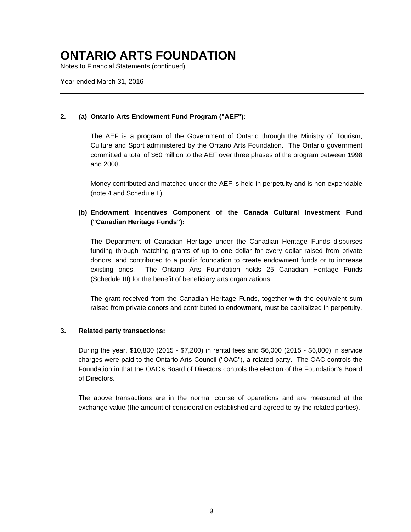Notes to Financial Statements (continued)

Year ended March 31, 2016

### **2. (a) Ontario Arts Endowment Fund Program ("AEF"):**

The AEF is a program of the Government of Ontario through the Ministry of Tourism, Culture and Sport administered by the Ontario Arts Foundation. The Ontario government committed a total of \$60 million to the AEF over three phases of the program between 1998 and 2008.

Money contributed and matched under the AEF is held in perpetuity and is non-expendable (note 4 and Schedule II).

### **(b) Endowment Incentives Component of the Canada Cultural Investment Fund ("Canadian Heritage Funds"):**

The Department of Canadian Heritage under the Canadian Heritage Funds disburses funding through matching grants of up to one dollar for every dollar raised from private donors, and contributed to a public foundation to create endowment funds or to increase existing ones. The Ontario Arts Foundation holds 25 Canadian Heritage Funds (Schedule III) for the benefit of beneficiary arts organizations.

The grant received from the Canadian Heritage Funds, together with the equivalent sum raised from private donors and contributed to endowment, must be capitalized in perpetuity.

### **3. Related party transactions:**

During the year, \$10,800 (2015 - \$7,200) in rental fees and \$6,000 (2015 - \$6,000) in service charges were paid to the Ontario Arts Council ("OAC"), a related party. The OAC controls the Foundation in that the OAC's Board of Directors controls the election of the Foundation's Board of Directors.

The above transactions are in the normal course of operations and are measured at the exchange value (the amount of consideration established and agreed to by the related parties).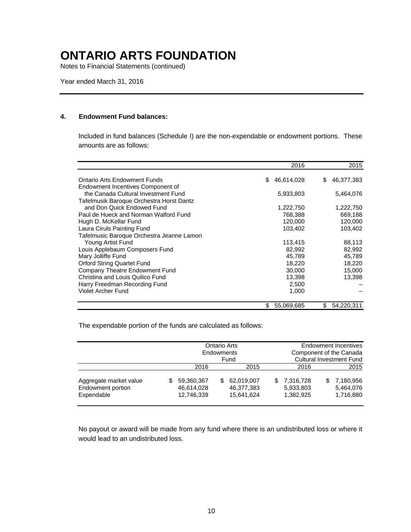Notes to Financial Statements (continued)

Year ended March 31, 2016

#### **4. Endowment Fund balances:**

Included in fund balances (Schedule I) are the non-expendable or endowment portions. These amounts are as follows:

|                                           | 2016             | 2015             |
|-------------------------------------------|------------------|------------------|
| Ontario Arts Endowment Funds              | 46,614,028<br>S  | 46,377,383<br>\$ |
| Endowment Incentives Component of         |                  |                  |
| the Canada Cultural Investment Fund       | 5,933,803        | 5,464,076        |
| Tafelmusik Baroque Orchestra Horst Dantz  |                  |                  |
| and Don Quick Endowed Fund                | 1,222,750        | 1,222,750        |
| Paul de Hueck and Norman Walford Fund     | 768,388          | 669,188          |
| Hugh D. McKellar Fund                     | 120,000          | 120,000          |
| Laura Ciruls Painting Fund                | 103,402          | 103,402          |
| Tafelmusic Baroque Orchestra Jeanne Lamon |                  |                  |
| Young Artist Fund                         | 113,415          | 88,113           |
| Louis Applebaum Composers Fund            | 82,992           | 82,992           |
| Mary Jolliffe Fund                        | 45,789           | 45,789           |
| Orford String Quartet Fund                | 18.220           | 18,220           |
| Company Theatre Endowment Fund            | 30,000           | 15,000           |
| Christina and Louis Quilico Fund          | 13,398           | 13,398           |
| Harry Freedman Recording Fund             | 2,500            |                  |
| Violet Archer Fund                        | 1,000            |                  |
|                                           | \$<br>55,069,685 | \$<br>54,220,311 |

The expendable portion of the funds are calculated as follows:

|                                                           |   |                                        |            | <b>Ontario Arts</b>                    |                                     |    | <b>Endowment Incentives</b>         |
|-----------------------------------------------------------|---|----------------------------------------|------------|----------------------------------------|-------------------------------------|----|-------------------------------------|
|                                                           |   |                                        | Endowments |                                        |                                     |    | Component of the Canada             |
|                                                           |   |                                        |            | Fund                                   |                                     |    | <b>Cultural Investment Fund</b>     |
|                                                           |   | 2016                                   |            | 2015                                   | 2016                                |    | 2015                                |
| Aggregate market value<br>Endowment portion<br>Expendable | S | 59,360,367<br>46.614.028<br>12,746,339 |            | 62.019.007<br>46.377.383<br>15,641,624 | 7,316,728<br>5,933,803<br>1,382,925 | S. | 7,180,956<br>5,464,076<br>1,716,880 |

No payout or award will be made from any fund where there is an undistributed loss or where it would lead to an undistributed loss.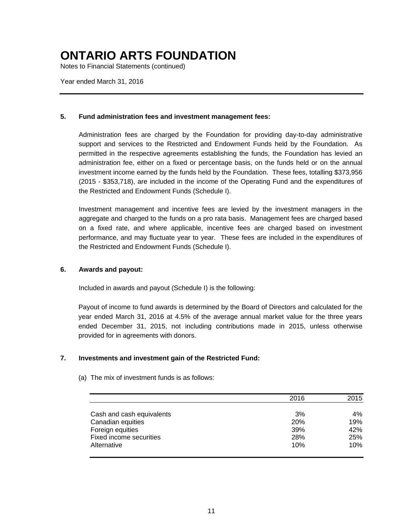Notes to Financial Statements (continued)

Year ended March 31, 2016

#### **5. Fund administration fees and investment management fees:**

Administration fees are charged by the Foundation for providing day-to-day administrative support and services to the Restricted and Endowment Funds held by the Foundation. As permitted in the respective agreements establishing the funds, the Foundation has levied an administration fee, either on a fixed or percentage basis, on the funds held or on the annual investment income earned by the funds held by the Foundation. These fees, totalling \$373,956 (2015 - \$353,718), are included in the income of the Operating Fund and the expenditures of the Restricted and Endowment Funds (Schedule I).

Investment management and incentive fees are levied by the investment managers in the aggregate and charged to the funds on a pro rata basis. Management fees are charged based on a fixed rate, and where applicable, incentive fees are charged based on investment performance, and may fluctuate year to year. These fees are included in the expenditures of the Restricted and Endowment Funds (Schedule I).

#### **6. Awards and payout:**

Included in awards and payout (Schedule I) is the following:

Payout of income to fund awards is determined by the Board of Directors and calculated for the year ended March 31, 2016 at 4.5% of the average annual market value for the three years ended December 31, 2015, not including contributions made in 2015, unless otherwise provided for in agreements with donors.

#### **7. Investments and investment gain of the Restricted Fund:**

(a) The mix of investment funds is as follows:

|                           | 2016       | 2015 |
|---------------------------|------------|------|
|                           |            |      |
| Cash and cash equivalents | 3%         | 4%   |
| Canadian equities         | <b>20%</b> | 19%  |
| Foreign equities          | 39%        | 42%  |
| Fixed income securities   | 28%        | 25%  |
| Alternative               | 10%        | 10%  |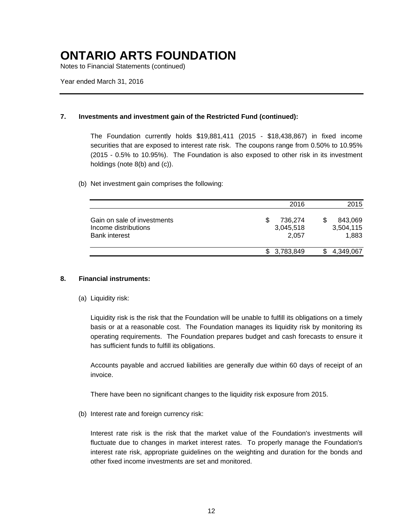Notes to Financial Statements (continued)

Year ended March 31, 2016

#### **7. Investments and investment gain of the Restricted Fund (continued):**

The Foundation currently holds \$19,881,411 (2015 - \$18,438,867) in fixed income securities that are exposed to interest rate risk. The coupons range from 0.50% to 10.95% (2015 - 0.5% to 10.95%). The Foundation is also exposed to other risk in its investment holdings (note 8(b) and (c)).

#### (b) Net investment gain comprises the following:

|                                                                             |                               | 2016 | 2015                          |
|-----------------------------------------------------------------------------|-------------------------------|------|-------------------------------|
| Gain on sale of investments<br>Income distributions<br><b>Bank interest</b> | 736.274<br>3,045,518<br>2.057 |      | 843,069<br>3,504,115<br>1,883 |
|                                                                             | 3,783,849                     |      | 4,349,067                     |

#### **8. Financial instruments:**

(a) Liquidity risk:

Liquidity risk is the risk that the Foundation will be unable to fulfill its obligations on a timely basis or at a reasonable cost. The Foundation manages its liquidity risk by monitoring its operating requirements. The Foundation prepares budget and cash forecasts to ensure it has sufficient funds to fulfill its obligations.

Accounts payable and accrued liabilities are generally due within 60 days of receipt of an invoice.

There have been no significant changes to the liquidity risk exposure from 2015.

(b) Interest rate and foreign currency risk:

Interest rate risk is the risk that the market value of the Foundation's investments will fluctuate due to changes in market interest rates. To properly manage the Foundation's interest rate risk, appropriate guidelines on the weighting and duration for the bonds and other fixed income investments are set and monitored.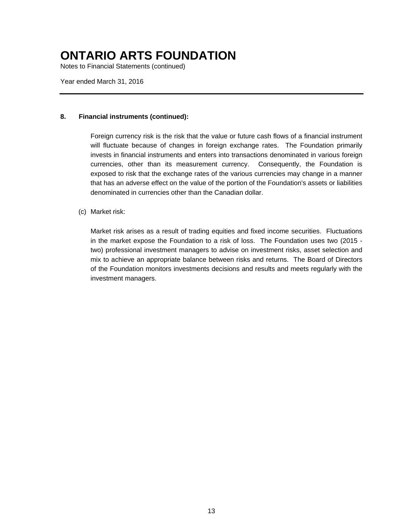Notes to Financial Statements (continued)

Year ended March 31, 2016

#### **8. Financial instruments (continued):**

Foreign currency risk is the risk that the value or future cash flows of a financial instrument will fluctuate because of changes in foreign exchange rates. The Foundation primarily invests in financial instruments and enters into transactions denominated in various foreign currencies, other than its measurement currency. Consequently, the Foundation is exposed to risk that the exchange rates of the various currencies may change in a manner that has an adverse effect on the value of the portion of the Foundation's assets or liabilities denominated in currencies other than the Canadian dollar.

#### (c) Market risk:

Market risk arises as a result of trading equities and fixed income securities. Fluctuations in the market expose the Foundation to a risk of loss. The Foundation uses two (2015 two) professional investment managers to advise on investment risks, asset selection and mix to achieve an appropriate balance between risks and returns. The Board of Directors of the Foundation monitors investments decisions and results and meets regularly with the investment managers.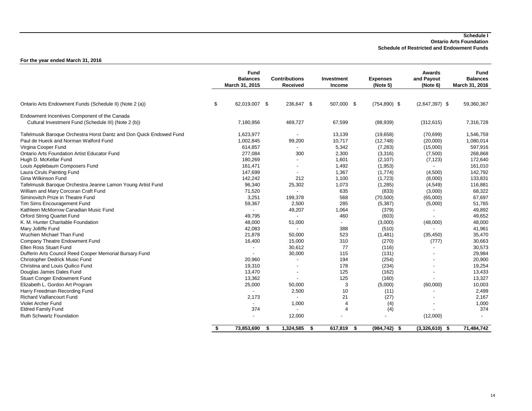#### **Schedule I Ontario Arts Foundation Schedule of Restricted and Endowment Funds**

|                                                                                                                                                                                                                                                                                                                                                                                                                                                                                                                                                                                                                                                                                         | Fund<br><b>Balances</b><br>March 31, 2015                                                                                                                                                   | <b>Contributions</b><br><b>Received</b>                                                                                                                                                                                                                     |     | Investment<br><b>Income</b>                                                                                                                                           |                                                          | <b>Expenses</b><br>(Note 5)                                                                                                                                                                      | Awards<br>and Payout<br>(Note 6)                                                                                                                              | Fund<br><b>Balances</b><br>March 31, 2016                                                                                                                                                     |
|-----------------------------------------------------------------------------------------------------------------------------------------------------------------------------------------------------------------------------------------------------------------------------------------------------------------------------------------------------------------------------------------------------------------------------------------------------------------------------------------------------------------------------------------------------------------------------------------------------------------------------------------------------------------------------------------|---------------------------------------------------------------------------------------------------------------------------------------------------------------------------------------------|-------------------------------------------------------------------------------------------------------------------------------------------------------------------------------------------------------------------------------------------------------------|-----|-----------------------------------------------------------------------------------------------------------------------------------------------------------------------|----------------------------------------------------------|--------------------------------------------------------------------------------------------------------------------------------------------------------------------------------------------------|---------------------------------------------------------------------------------------------------------------------------------------------------------------|-----------------------------------------------------------------------------------------------------------------------------------------------------------------------------------------------|
| Ontario Arts Endowment Funds (Schedule II) (Note 2 (a))                                                                                                                                                                                                                                                                                                                                                                                                                                                                                                                                                                                                                                 | \$<br>62,019,007 \$                                                                                                                                                                         | 236,647 \$                                                                                                                                                                                                                                                  |     | 507,000 \$                                                                                                                                                            |                                                          | $(754,890)$ \$                                                                                                                                                                                   | $(2,647,397)$ \$                                                                                                                                              | 59,360,367                                                                                                                                                                                    |
| Endowment Incentives Component of the Canada<br>Cultural Investment Fund (Schedule III) (Note 2 (b))                                                                                                                                                                                                                                                                                                                                                                                                                                                                                                                                                                                    | 7,180,956                                                                                                                                                                                   | 469,727                                                                                                                                                                                                                                                     |     | 67,599                                                                                                                                                                |                                                          | (88,939)                                                                                                                                                                                         | (312, 615)                                                                                                                                                    | 7,316,728                                                                                                                                                                                     |
| Tafelmusik Baroque Orchestra Horst Dantz and Don Quick Endowed Fund<br>Paul de Hueck and Norman Walford Fund<br>Virgina Cooper Fund<br>Ontario Arts Foundation Artist Educator Fund<br>Hugh D. McKellar Fund<br>Louis Applebaum Composers Fund<br>Laura Ciruls Painting Fund<br>Gina Wilkinson Fund<br>Tafelmusik Baroque Orchestra Jeanne Lamon Young Artist Fund<br>William and Mary Corcoran Craft Fund<br>Siminovitch Prize in Theatre Fund<br>Tim Sims Encouragement Fund<br>Kathleen McMorrow Canadian Music Fund<br><b>Orford String Quartet Fund</b><br>K. M. Hunter Charitable Foundation<br>Mary Jolliffe Fund<br>Wuchien Michael Than Fund<br>Company Theatre Endowment Fund | 1,623,977<br>1,002,845<br>614,857<br>277,084<br>180,269<br>161,471<br>147,699<br>142,242<br>96,340<br>71,520<br>3,251<br>59,367<br>$\sim$<br>49,795<br>48,000<br>42,083<br>21,878<br>16,400 | $\overline{\phantom{a}}$<br>99,200<br>300<br>$\overline{\phantom{a}}$<br>$\overline{\phantom{a}}$<br>$\overline{\phantom{a}}$<br>25,302<br>199,378<br>2,500<br>49,207<br>$\overline{\phantom{a}}$<br>51,000<br>$\overline{\phantom{a}}$<br>50,000<br>15,000 | 212 | 13,139<br>10,717<br>5,342<br>2,300<br>1,601<br>1,492<br>1,367<br>1,100<br>1,073<br>635<br>568<br>285<br>1,064<br>460<br>$\overline{\phantom{a}}$<br>388<br>523<br>310 |                                                          | (19,658)<br>(12, 748)<br>(7, 283)<br>(3,316)<br>(2, 107)<br>(1,953)<br>(1,774)<br>(1,723)<br>(1,285)<br>(833)<br>(70, 500)<br>(5, 387)<br>(379)<br>(603)<br>(3,000)<br>(510)<br>(1,481)<br>(270) | (70, 699)<br>(20,000)<br>(15,000)<br>(7,500)<br>(7, 123)<br>(4,500)<br>(8,000)<br>(4,549)<br>(3,000)<br>(65,000)<br>(5,000)<br>(48,000)<br>(35, 450)<br>(777) | 1,546,759<br>1,080,014<br>597,916<br>268,868<br>172,640<br>161,010<br>142,792<br>133,831<br>116,881<br>68,322<br>67,697<br>51,765<br>49,892<br>49,652<br>48,000<br>41,961<br>35,470<br>30,663 |
| Ellen Ross Stuart Fund<br>Dufferin Arts Council Reed Cooper Memorial Bursary Fund<br>Christopher Dedrick Music Fund<br>Christina and Louis Quilico Fund<br>Douglas James Dales Fund<br><b>Stuart Conger Endowment Fund</b><br>Elizabeth L. Gordon Art Program<br>Harry Freedman Recording Fund<br><b>Richard Vaillancourt Fund</b><br>Violet Archer Fund<br><b>Eldred Family Fund</b><br>Ruth Schwartz Foundation                                                                                                                                                                                                                                                                       | \$<br>$\overline{\phantom{a}}$<br>20,960<br>19,310<br>13,470<br>13,362<br>25,000<br>$\overline{\phantom{a}}$<br>2,173<br>374<br>73,853,690                                                  | 30,612<br>30,000<br>$\overline{\phantom{a}}$<br>50,000<br>2,500<br>1,000<br>$\overline{a}$<br>12,000<br>1,324,585<br>\$                                                                                                                                     |     | 77<br>115<br>194<br>178<br>125<br>125<br>617,819<br>\$                                                                                                                | 3<br>10<br>21<br>$\overline{4}$<br>$\overline{4}$<br>-\$ | (116)<br>(131)<br>(254)<br>(234)<br>(162)<br>(160)<br>(5,000)<br>(11)<br>(27)<br>(4)<br>(4)<br>$(984, 742)$ \$                                                                                   | (60,000)<br>(12,000)<br>$(3,326,610)$ \$                                                                                                                      | 30,573<br>29,984<br>20,900<br>19,254<br>13,433<br>13,327<br>10,003<br>2,499<br>2,167<br>1,000<br>374<br>71,484,742                                                                            |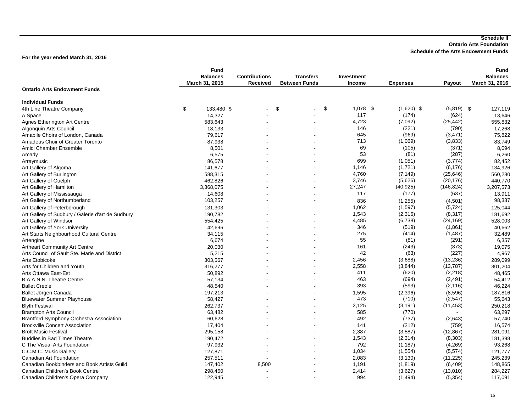**Ontario Arts Foundation**

**Schedule of the Arts Endowment Funds**

| For the year ended March 31, 2016 |  |  |  |  |  |
|-----------------------------------|--|--|--|--|--|
|-----------------------------------|--|--|--|--|--|

|                                                   | <b>Fund</b>      |                      |                      |                  |                 |              | <b>Fund</b>     |
|---------------------------------------------------|------------------|----------------------|----------------------|------------------|-----------------|--------------|-----------------|
|                                                   | <b>Balances</b>  | <b>Contributions</b> | <b>Transfers</b>     | Investment       |                 |              | <b>Balances</b> |
|                                                   | March 31, 2015   | Received             | <b>Between Funds</b> | Income           | <b>Expenses</b> | Payout       | March 31, 2016  |
| <b>Ontario Arts Endowment Funds</b>               |                  |                      |                      |                  |                 |              |                 |
| <b>Individual Funds</b>                           |                  |                      |                      |                  |                 |              |                 |
| 4th Line Theatre Company                          | \$<br>133,480 \$ | $\blacksquare$       | \$                   | \$<br>$1,078$ \$ | $(1,620)$ \$    | $(5,819)$ \$ | 127,119         |
| A Space                                           | 14,327           |                      |                      | 117              | (174)           | (624)        | 13,646          |
| Agnes Etherington Art Centre                      | 583,643          |                      |                      | 4,723            | (7,092)         | (25, 442)    | 555,832         |
| Algonquin Arts Council                            | 18,133           |                      |                      | 146              | (221)           | (790)        | 17,268          |
| Amabile Choirs of London, Canada                  | 79,617           |                      |                      | 645              | (969)           | (3, 471)     | 75,822          |
| Amadeus Choir of Greater Toronto                  | 87,938           |                      |                      | 713              | (1,069)         | (3,833)      | 83,749          |
| Amici Chamber Ensemble                            | 8,501            |                      |                      | 69               | (105)           | (371)        | 8,094           |
| Arcady                                            | 6,575            |                      |                      | 53               | (81)            | (287)        | 6,260           |
| Arraymusic                                        | 86,578           |                      |                      | 699              | (1,051)         | (3,774)      | 82,452          |
| Art Gallery of Algoma                             | 141,677          |                      |                      | 1,146            | (1,721)         | (6, 176)     | 134,926         |
| Art Gallery of Burlington                         | 588,315          |                      |                      | 4,760            | (7, 149)        | (25, 646)    | 560,280         |
| Art Gallery of Guelph                             | 462,826          |                      |                      | 3,746            | (5,626)         | (20, 176)    | 440,770         |
| Art Gallery of Hamilton                           | 3,368,075        |                      |                      | 27,247           | (40, 925)       | (146, 824)   | 3,207,573       |
| Art Gallery of Mississauga                        | 14,608           |                      |                      | 117              | (177)           | (637)        | 13,911          |
| Art Gallery of Northumberland                     | 103,257          |                      |                      | 836              | (1, 255)        | (4,501)      | 98,337          |
| Art Gallery of Peterborough                       | 131,303          |                      |                      | 1,062            | (1, 597)        | (5, 724)     | 125,044         |
| Art Gallery of Sudbury / Galerie d'art de Sudbury | 190,782          |                      |                      | 1,543            | (2,316)         | (8, 317)     | 181,692         |
| Art Gallery of Windsor                            | 554,425          |                      |                      | 4,485            | (6,738)         | (24, 169)    | 528,003         |
| Art Gallery of York University                    | 42,696           |                      |                      | 346              | (519)           | (1,861)      | 40,662          |
| Art Starts Neighbourhood Cultural Centre          | 34,115           |                      |                      | 275              | (414)           | (1, 487)     | 32,489          |
| Artengine                                         | 6,674            |                      |                      | 55               | (81)            | (291)        | 6,357           |
| <b>Artheart Community Art Centre</b>              | 20,030           |                      |                      | 161              | (243)           | (873)        | 19,075          |
| Arts Council of Sault Ste. Marie and District     | 5,215            |                      |                      | 42               | (63)            | (227)        | 4,967           |
| Arts Etobicoke                                    | 303,567          |                      |                      | 2,456            | (3,688)         | (13, 236)    | 289,099         |
| Arts for Children and Youth                       | 316,277          |                      |                      | 2,558            | (3,844)         | (13, 787)    | 301,204         |
| Arts Ottawa East-Est                              | 50,892           |                      |                      | 411              | (620)           | (2, 218)     | 48,465          |
| B.A.A.N.N. Theatre Centre                         | 57,134           |                      |                      | 463              | (694)           | (2, 491)     | 54,412          |
| <b>Ballet Creole</b>                              | 48,540           |                      |                      | 393              | (593)           | (2, 116)     | 46,224          |
| Ballet Jörgen Canada                              | 197,213          |                      |                      | 1,595            | (2, 396)        | (8,596)      | 187,816         |
| <b>Bluewater Summer Playhouse</b>                 | 58,427           |                      | $\overline{a}$       | 473              | (710)           | (2, 547)     | 55,643          |
| <b>Blyth Festival</b>                             | 262,737          |                      |                      | 2,125            | (3, 191)        | (11, 453)    | 250,218         |
| <b>Brampton Arts Council</b>                      | 63,482           |                      |                      | 585              | (770)           |              | 63,297          |
| Brantford Symphony Orchestra Association          | 60,628           |                      |                      | 492              | (737)           | (2,643)      | 57,740          |
| <b>Brockville Concert Association</b>             | 17,404           |                      |                      | 141              | (212)           | (759)        | 16,574          |
| <b>Brott Music Festival</b>                       | 295,158          |                      |                      | 2,387            | (3, 587)        | (12, 867)    | 281,091         |
| <b>Buddies in Bad Times Theatre</b>               | 190,472          |                      |                      | 1,543            | (2, 314)        | (8,303)      | 181,398         |
|                                                   |                  |                      |                      |                  |                 |              |                 |
| C The Visual Arts Foundation                      | 97,932           |                      |                      | 792<br>1,034     | (1, 187)        | (4,269)      | 93,268          |
| C.C.M.C. Music Gallery                            | 127,871          |                      |                      |                  | (1, 554)        | (5, 574)     | 121,777         |
| Canadian Art Foundation                           | 257,511          |                      |                      | 2,083            | (3, 130)        | (11, 225)    | 245,239         |
| Canadian Bookbinders and Book Artists Guild       | 147,402          | 8,500                |                      | 1,191            | (1, 819)        | (6, 409)     | 148,865         |
| Canadian Children's Book Centre                   | 298,450          |                      |                      | 2,414            | (3,627)         | (13,010)     | 284,227         |
| Canadian Children's Opera Company                 | 122,945          |                      |                      | 994              | (1, 494)        | (5, 354)     | 117,091         |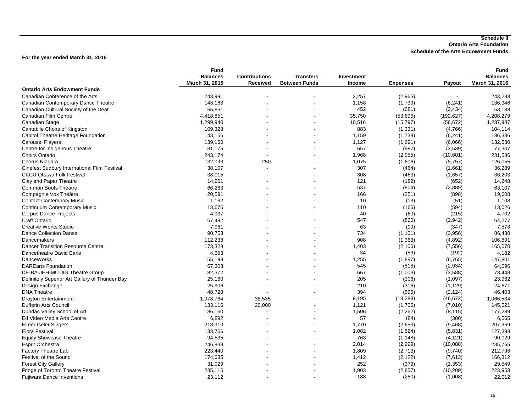**Ontario Arts Foundation**

**Schedule of the Arts Endowment Funds**

|                                                | <b>Fund</b><br><b>Balances</b> | <b>Contributions</b> | <b>Transfers</b>     | Investment |                     |                    | <b>Fund</b><br><b>Balances</b> |
|------------------------------------------------|--------------------------------|----------------------|----------------------|------------|---------------------|--------------------|--------------------------------|
|                                                | March 31, 2015                 | <b>Received</b>      | <b>Between Funds</b> | Income     | <b>Expenses</b>     | <b>Payout</b>      | March 31, 2016                 |
| <b>Ontario Arts Endowment Funds</b>            |                                |                      |                      |            |                     |                    |                                |
| Canadian Conference of the Arts                | 243,991                        |                      |                      | 2,257      | (2,965)             |                    | 243,283                        |
| Canadian Contemporary Dance Theatre            | 143,168                        |                      |                      | 1,158      | (1,739)             | (6, 241)           | 136,346                        |
| Canadian Cultural Society of the Deaf          | 55,851                         |                      |                      | 452        | (681)               | (2, 434)           | 53,188                         |
| Canadian Film Centre                           | 4,418,851                      |                      |                      | 35,750     | (53, 695)           | (192, 627)         | 4,208,279                      |
| Canadian Stage                                 | 1,299,940                      |                      |                      | 10,516     | (15, 797)           | (56, 672)          | 1,237,987                      |
| Cantabile Choirs of Kingston                   | 109,328                        |                      |                      | 883        | (1, 331)            | (4,766)            | 104,114                        |
| Capitol Theatre Heritage Foundation            | 143,156                        |                      |                      | 1,159      | (1,738)             | (6, 241)           | 136,336                        |
| <b>Carousel Players</b>                        | 139,160                        |                      |                      | 1,127      | (1,691)             | (6,066)            | 132,530                        |
| Centre for Indigenous Theatre                  | 81,176                         |                      |                      | 657        | (987)               | (3,539)            | 77,307                         |
| Choirs Ontario                                 | 243,174                        |                      |                      | 1,968      | (2,955)             | (10,601)           | 231,586                        |
| Chorus Niagara                                 | 132,093                        | 250                  |                      | 1,075      | (1,606)             | (5,757)            | 126,055                        |
| Cinefest Sudbury International Film Festival   | 38,107                         |                      |                      | 307        | (464)               | (1,661)            | 36,289                         |
| <b>CKCU Ottawa Folk Festival</b>               | 38,015                         |                      |                      | 308        | (463)               | (1,657)            | 36,203                         |
| Clay and Paper Theatre                         | 14,961                         |                      |                      | 121        | (182)               | (652)              | 14,248                         |
| Common Boots Theatre                           | 66,263                         |                      |                      | 537        | (804)               | (2,889)            | 63,107                         |
| Compagnie Vox Théâtre                          | 20,591                         |                      |                      | 166        | (251)               | (898)              | 19,608                         |
| <b>Contact Contempory Music</b>                | 1,162                          |                      |                      | 10         | (13)                | (51)               | 1,108                          |
| Continuum Contemporary Music                   | 13,676                         |                      |                      | 110        | (166)               | (594)              | 13,026                         |
| <b>Corpus Dance Projects</b>                   | 4,937                          |                      |                      | 40         | (60)                | (215)              | 4,702                          |
| <b>Craft Ontario</b>                           | 67,492                         |                      |                      | 547        | (820)               | (2,942)            | 64,277                         |
| <b>Creative Works Studio</b>                   | 7,961                          |                      |                      | 63         | (99)                | (347)              | 7,578                          |
| <b>Dance Collection Danse</b>                  | 90,753                         |                      |                      | 734        | (1, 101)            | (3,956)            | 86,430                         |
| Dancemakers                                    | 112,238                        |                      |                      | 908        | (1, 363)            | (4,892)            | 106,891                        |
| <b>Dancer Transition Resource Centre</b>       | 173,329                        |                      |                      | 1,403      | (2, 106)            | (7, 556)           | 165,070                        |
| Dancetheatre David Earle                       | 4,393                          |                      |                      | 34         | (53)                | (192)              | 4,182                          |
| <b>DanceWorks</b>                              | 155,198                        |                      |                      | 1,255      | (1,887)             | (6, 765)           | 147,801                        |
| <b>DAREarts Foundation</b>                     | 67,303                         |                      |                      | 545        | (818)               | (2,934)            | 64,096                         |
| DE-BA-JEH-MU-JIG Theatre Group                 | 82,372                         |                      |                      | 667        | (1,003)             | (3,588)            | 78,448                         |
| Definitely Superior Art Gallery of Thunder Bay | 25,160                         |                      |                      | 205        | (306)               | (1,097)            | 23,962                         |
| Design Exchange                                | 25,906                         |                      |                      | 210        | (316)               | (1, 129)           | 24,671                         |
| <b>DNA Theatre</b>                             | 48,728                         |                      |                      | 394        | (595)               | (2, 124)           | 46,403                         |
| <b>Drayton Entertainment</b>                   | 1,078,764                      | 38,535               |                      | 9,195      | (13, 288)           | (46, 672)          | 1,066,534                      |
| Dufferin Arts Council                          | 133,116                        | 20,000               |                      | 1,121      | (1,706)             | (7,010)            | 145,521                        |
| Dundas Valley School of Art                    | 186,160                        |                      |                      | 1,506      | (2, 262)            | (8, 115)           | 177,289                        |
| Ed Video Media Arts Centre                     | 6,892                          |                      |                      | 57         | (84)                | (300)              | 6,565                          |
| <b>Elmer Iseler Singers</b>                    | 218,310                        |                      |                      | 1,770      | (2,653)             | (9, 468)           | 207,959                        |
| <b>Elora Festival</b>                          | 133,766                        |                      |                      | 1,082      | (1,624)             | (5,831)            | 127,393                        |
| <b>Equity Showcase Theatre</b>                 | 94,535                         |                      |                      | 763        | (1, 148)            | (4, 121)           | 90,029                         |
| <b>Esprit Orchestra</b>                        | 246,838                        |                      |                      | 2,014      | (2,999)             | (10,088)           | 235,765                        |
|                                                |                                |                      |                      | 1,809      |                     |                    |                                |
| Factory Theatre Lab<br>Festival of the Sound   | 223,440<br>174,635             |                      |                      | 1,412      | (2,713)<br>(2, 122) | (9,740)<br>(7,613) | 212,796<br>166,312             |
|                                                | 31,029                         |                      |                      | 252        | (379)               |                    | 29,549                         |
| <b>Forest City Gallery</b>                     | 235,116                        |                      |                      | 1,903      |                     | (1, 353)           | 223,953                        |
| Fringe of Toronto Theatre Festival             |                                |                      |                      |            | (2, 857)            | (10, 209)          |                                |
| <b>Fujiwara Dance Inventions</b>               | 23,112                         |                      |                      | 188        | (280)               | (1,008)            | 22,012                         |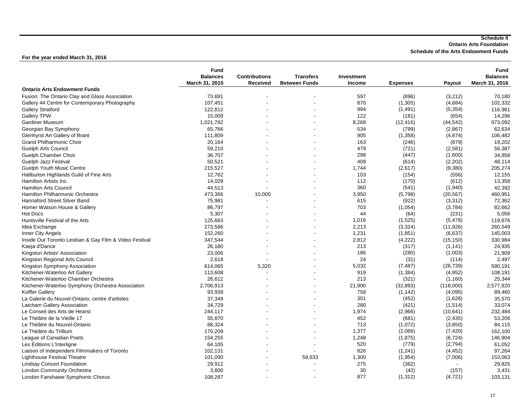**Ontario Arts Foundation**

**Schedule of the Arts Endowment Funds**

|                                                        | <b>Fund</b>        |                          |                      |            |                 |                   | <b>Fund</b>     |
|--------------------------------------------------------|--------------------|--------------------------|----------------------|------------|-----------------|-------------------|-----------------|
|                                                        | <b>Balances</b>    | <b>Contributions</b>     | <b>Transfers</b>     | Investment |                 |                   | <b>Balances</b> |
|                                                        | March 31, 2015     | <b>Received</b>          | <b>Between Funds</b> | Income     | <b>Expenses</b> | Payout            | March 31, 2016  |
| <b>Ontario Arts Endowment Funds</b>                    |                    |                          |                      |            |                 |                   |                 |
| Fusion: The Ontario Clay and Glass Association         | 73,691             | $\overline{\phantom{a}}$ |                      | 597        | (896)           | (3,212)           | 70,180          |
| Gallery 44 Centre for Contemporary Photography         | 107,451            |                          |                      | 870        | (1,305)         | (4,684)           | 102,332         |
| <b>Gallery Stratford</b>                               | 122,812            |                          |                      | 994        | (1, 491)        | (5, 354)          | 116,961         |
| <b>Gallery TPW</b>                                     | 15,009             |                          |                      | 122        | (181)           | (654)             | 14,296          |
| <b>Gardiner Museum</b>                                 | 1,021,782          |                          |                      | 8,268      | (12, 416)       | (44, 542)         | 973,092         |
| Georgian Bay Symphony                                  | 65,766             |                          |                      | 534        | (799)           | (2,867)           | 62,634          |
| Glenhyrst Art Gallery of Brant                         | 111,809            |                          |                      | 905        | (1,358)         | (4, 874)          | 106,482         |
| <b>Grand Philharmonic Choir</b>                        | 20,164             |                          |                      | 163        | (246)           | (879)             | 19,202          |
| <b>Guelph Arts Council</b>                             | 59,210             |                          |                      | 479        | (721)           | (2,581)           | 56,387          |
| Guelph Chamber Choir                                   | 36,707             |                          |                      | 298        | (447)           | (1,600)           | 34,958          |
| Guelph Jazz Festival                                   | 50,521             |                          |                      | 409        | (614)           | (2,202)           | 48,114          |
| Guelph Youth Music Centre                              | 215,527            |                          |                      | 1,744      | (2,617)         | (9,380)           | 205,274         |
| Haliburton Highlands Guild of Fine Arts                | 12,762             |                          |                      | 103        | (154)           | (556)             | 12,155          |
| Hamilton Artists Inc.                                  | 14,028             |                          |                      | 112        | (170)           | (612)             | 13,358          |
| <b>Hamilton Arts Council</b>                           | 44,513             |                          |                      | 360        | (541)           | (1,940)           | 42,392          |
| Hamilton Philharmonic Orchestra                        | 473,366            | 10,000                   |                      | 3,950      | (5,798)         | (20, 567)         | 460,951         |
| Hannaford Street Silver Band                           | 75,981             |                          |                      | 615        | (922)           | (3, 312)          | 72,362          |
| Homer Watson House & Gallery                           | 86,797             |                          |                      | 703        | (1,054)         | (3,784)           | 82,662          |
| <b>Hot Docs</b>                                        | 5,307              |                          |                      | 44         | (64)            |                   | 5,056           |
| Huntsville Festival of the Arts                        | 125,663            |                          |                      | 1,016      | (1,525)         | (231)<br>(5, 478) | 119,676         |
|                                                        |                    |                          |                      | 2,213      |                 |                   | 260,549         |
| Idea Exchange                                          | 273,586<br>152,260 |                          |                      | 1,231      | (3,324)         | (11, 926)         | 145,003         |
| Inner City Angels                                      | 347,544            |                          |                      | 2,812      | (1,851)         | (6,637)           | 330,984         |
| Inside Out Toronto Lesbian & Gay Film & Video Festival |                    |                          |                      | 213        | (4,222)         | (15, 150)         |                 |
| Kaeja d'Dance                                          | 26,180             |                          |                      | 186        | (317)           | (1, 141)          | 24,935          |
| Kingston Artists' Association                          | 23,006             |                          |                      | 24         | (280)           | (1,003)           | 21,909          |
| Kingston Regional Arts Council                         | 2,618              |                          |                      |            | (31)            | (114)             | 2,497           |
| Kingston Symphony Association                          | 614,065            | 5,320                    |                      | 5,032      | (7, 487)        | (26, 739)         | 590,191         |
| Kitchener-Waterloo Art Gallery                         | 113,608            |                          |                      | 919        | (1, 384)        | (4,952)           | 108,191         |
| Kitchener-Waterloo Chamber Orchestra                   | 26,612             |                          |                      | 213        | (321)           | (1,160)           | 25,344          |
| Kitchener-Waterloo Symphony Orchestra Association      | 2,706,913          |                          |                      | 21,900     | (32, 893)       | (118,000)         | 2,577,920       |
| Koffler Gallery                                        | 93,939             |                          |                      | 758        | (1, 142)        | (4,095)           | 89,460          |
| La Galerie du Nouvel-Ontario, centre d'artistes        | 37,349             |                          |                      | 301        | (452)           | (1,628)           | 35,570          |
| Latcham Gallery Association                            | 34,729             |                          |                      | 280        | (421)           | (1,514)           | 33,074          |
| Le Conseil des Arts de Hearst                          | 244,117            |                          |                      | 1,974      | (2,966)         | (10, 641)         | 232,484         |
| Le Théâtre de la Vieille 17                            | 55,870             |                          |                      | 452        | (681)           | (2, 435)          | 53,206          |
| Le Théâtre du Nouvel-Ontario                           | 88,324             |                          |                      | 713        | (1,072)         | (3,850)           | 84,115          |
| Le Théâtre du Trillium                                 | 170,209            |                          |                      | 1,377      | (2,066)         | (7, 420)          | 162,100         |
| League of Canadian Poets                               | 154,255            |                          |                      | 1,248      | (1, 875)        | (6, 724)          | 146,904         |
| Les Éditions L'Interligne                              | 64,105             |                          |                      | 520        | (779)           | (2,794)           | 61,052          |
| Liaison of Independent Filmmakers of Toronto           | 102,131            |                          |                      | 826        | (1, 241)        | (4, 452)          | 97,264          |
| <b>Lighthouse Festival Theatre</b>                     | 101,090            |                          | 59,633               | 1,300      | (1, 954)        | (7,006)           | 153,063         |
| <b>Lindsay Concert Foundation</b>                      | 29,912             |                          |                      | 275        | (362)           |                   | 29,825          |
| London Community Orchestra                             | 3,600              |                          |                      | 30         | (42)            | (157)             | 3,431           |
| London Fanshawe Symphonic Chorus                       | 108,287            |                          |                      | 877        | (1, 312)        | (4, 721)          | 103,131         |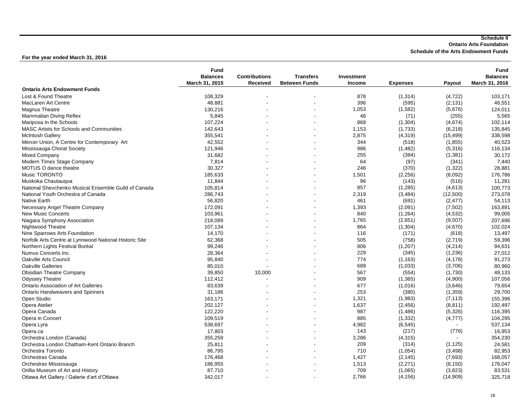**Ontario Arts Foundation**

**Schedule of the Arts Endowment Funds**

|                                                        | <b>Fund</b><br><b>Balances</b> | <b>Contributions</b> | <b>Transfers</b>     | Investment    |                 |           | <b>Fund</b><br><b>Balances</b> |
|--------------------------------------------------------|--------------------------------|----------------------|----------------------|---------------|-----------------|-----------|--------------------------------|
| <b>Ontario Arts Endowment Funds</b>                    | March 31, 2015                 | <b>Received</b>      | <b>Between Funds</b> | <b>Income</b> | <b>Expenses</b> | Payout    | March 31, 2016                 |
| Lost & Found Theatre                                   | 108,329                        |                      |                      | 878           | (1, 314)        | (4, 722)  | 103,171                        |
| MacLaren Art Centre                                    | 48,881                         |                      |                      | 396           | (595)           | (2, 131)  | 46,551                         |
| <b>Magnus Theatre</b>                                  | 130,216                        |                      |                      | 1,053         | (1, 582)        | (5,676)   | 124,011                        |
| Mammalian Diving Reflex                                | 5,845                          |                      |                      | 46            |                 | (255)     | 5,565                          |
|                                                        |                                |                      |                      |               | (71)            |           |                                |
| Mariposa In the Schools                                | 107,224                        |                      |                      | 868           | (1, 304)        | (4,674)   | 102,114                        |
| MASC Artists for Schools and Communities               | 142,643                        |                      |                      | 1,153         | (1,733)         | (6, 218)  | 135,845                        |
| <b>McIntosh Gallery</b>                                | 355,541                        |                      |                      | 2,875         | (4,319)         | (15, 499) | 338,598                        |
| Mercer Union, A Centre for Contemporary Art            | 42,552                         |                      |                      | 344           | (518)           | (1, 855)  | 40,523                         |
| Mississauga Choral Society                             | 121,946                        |                      |                      | 986           | (1, 482)        | (5,316)   | 116,134                        |
| Mixed Company                                          | 31,682                         |                      |                      | 255           | (384)           | (1, 381)  | 30,172                         |
| Modern Times Stage Company                             | 7,814                          |                      |                      | 64            | (97)            | (341)     | 7,440                          |
| <b>MOTUS O dance theatre</b>                           | 30,327                         |                      |                      | 246           | (370)           | (1, 322)  | 28,881                         |
| Music TORONTO                                          | 185,633                        |                      |                      | 1,501         | (2, 256)        | (8,092)   | 176,786                        |
| Muskoka Chautauqua                                     | 11,844                         |                      |                      | 96            | (143)           | (516)     | 11,281                         |
| National Shevchenko Musical Ensemble Guild of Canada   | 105,814                        |                      |                      | 857           | (1, 285)        | (4,613)   | 100,773                        |
| National Youth Orchestra of Canada                     | 286,743                        |                      |                      | 2,319         | (3, 484)        | (12,500)  | 273,078                        |
| <b>Native Earth</b>                                    | 56,820                         |                      |                      | 461           | (691)           | (2, 477)  | 54,113                         |
| Necessary Angel Theatre Company                        | 172,091                        |                      |                      | 1,393         | (2,091)         | (7,502)   | 163,891                        |
| <b>New Music Concerts</b>                              | 103,961                        |                      |                      | 840           | (1, 264)        | (4, 532)  | 99,005                         |
| Niagara Symphony Association                           | 218,089                        |                      |                      | 1,765         | (2,651)         | (9,507)   | 207,696                        |
| Nightwood Theatre                                      | 107,134                        |                      |                      | 864           | (1, 304)        | (4,670)   | 102,024                        |
| Nine Sparrows Arts Foundation                          | 14,170                         |                      |                      | 116           | (171)           | (618)     | 13,497                         |
| Norfolk Arts Centre at Lynnwood National Historic Site | 62,368                         |                      |                      | 505           | (758)           | (2,719)   | 59,396                         |
| Northern Lights Festival Boréal                        | 99,246                         |                      |                      | 806           | (1, 207)        | (4,214)   | 94,631                         |
| Numus Concerts Inc.                                    | 28,364                         |                      |                      | 229           | (345)           | (1, 236)  | 27,012                         |
| Oakville Arts Council                                  | 95,840                         |                      |                      | 774           | (1, 163)        | (4, 178)  | 91,273                         |
| <b>Oakville Galleries</b>                              | 85,010                         |                      |                      | 689           | (1,033)         | (3,706)   | 80,960                         |
| <b>Obsidian Theatre Company</b>                        | 39,850                         | 10,000               |                      | 567           | (554)           | (1,730)   | 48,133                         |
| <b>Odyssey Theatre</b>                                 | 112,412                        |                      |                      | 909           | (1, 365)        | (4,900)   | 107,056                        |
| <b>Ontario Association of Art Galleries</b>            | 83,639                         |                      |                      | 677           | (1,016)         | (3,646)   | 79,654                         |
| <b>Ontario Handweavers and Spinners</b>                | 31,186                         |                      |                      | 253           | (380)           | (1, 359)  | 29,700                         |
|                                                        |                                |                      |                      | 1,321         |                 |           |                                |
| Open Studio                                            | 163,171                        |                      |                      |               | (1,983)         | (7, 113)  | 155,396                        |
| Opera Atelier                                          | 202,127                        |                      |                      | 1,637         | (2, 456)        | (8, 811)  | 192,497                        |
| Opera Canada                                           | 122,220                        |                      |                      | 987           | (1, 486)        | (5,326)   | 116,395                        |
| Opera in Concert                                       | 109,519                        |                      |                      | 885           | (1, 332)        | (4, 777)  | 104,295                        |
| Opera Lyra                                             | 538,697                        |                      |                      | 4,982         | (6, 545)        |           | 537,134                        |
| Opera.ca                                               | 17,803                         |                      |                      | 143           | (217)           | (776)     | 16,953                         |
| Orchestra London (Canada)                              | 355,259                        |                      |                      | 3,286         | (4,315)         |           | 354,230                        |
| Orchestra London Chatham-Kent Ontario Branch           | 25,811                         |                      |                      | 209           | (314)           | (1, 125)  | 24,581                         |
| Orchestra Toronto                                      | 86,795                         |                      |                      | 710           | (1,054)         | (3, 498)  | 82,953                         |
| Orchestras Canada                                      | 176,468                        |                      |                      | 1,427         | (2, 145)        | (7,693)   | 168,057                        |
| Orchestras Mississauga                                 | 186,955                        |                      |                      | 1,513         | (2, 271)        | (8, 150)  | 178,047                        |
| Orillia Museum of Art and History                      | 87,710                         |                      |                      | 709           | (1,065)         | (3,823)   | 83,531                         |
| Ottawa Art Gallery / Galerie d'art d'Ottawa            | 342,017                        |                      |                      | 2.766         | (4, 156)        | (14,909)  | 325,718                        |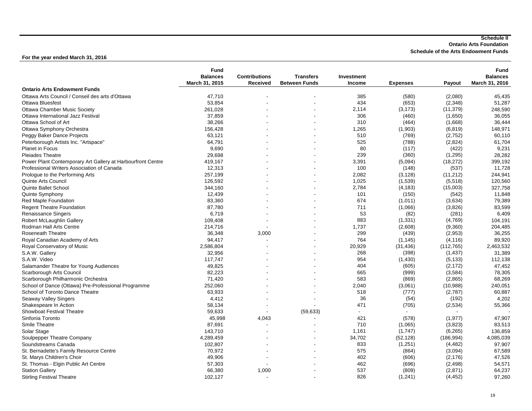**Ontario Arts Foundation**

**Schedule of the Arts Endowment Funds**

|                                                                    | <b>Fund</b>                       |                                         |                                          |                      |                 |               | <b>Fund</b>                       |
|--------------------------------------------------------------------|-----------------------------------|-----------------------------------------|------------------------------------------|----------------------|-----------------|---------------|-----------------------------------|
|                                                                    | <b>Balances</b><br>March 31, 2015 | <b>Contributions</b><br><b>Received</b> | <b>Transfers</b><br><b>Between Funds</b> | Investment<br>Income |                 |               | <b>Balances</b><br>March 31, 2016 |
| <b>Ontario Arts Endowment Funds</b>                                |                                   |                                         |                                          |                      | <b>Expenses</b> | <b>Payout</b> |                                   |
| Ottawa Arts Council / Conseil des arts d'Ottawa                    | 47,710                            |                                         |                                          | 385                  | (580)           | (2,080)       | 45,435                            |
| <b>Ottawa Bluesfest</b>                                            | 53,854                            |                                         |                                          | 434                  | (653)           | (2, 348)      | 51,287                            |
| <b>Ottawa Chamber Music Society</b>                                | 261,028                           |                                         |                                          | 2,114                | (3, 173)        | (11, 379)     | 248,590                           |
| Ottawa International Jazz Festival                                 | 37,859                            |                                         |                                          | 306                  | (460)           | (1,650)       | 36,055                            |
| Ottawa School of Art                                               | 38,266                            |                                         |                                          | 310                  | (464)           | (1,668)       | 36,444                            |
| Ottawa Symphony Orchestra                                          | 156,428                           |                                         |                                          | 1,265                | (1,903)         | (6, 819)      | 148,971                           |
|                                                                    | 63,121                            |                                         |                                          | 510                  | (769)           | (2, 752)      | 60,110                            |
| Peggy Baker Dance Projects<br>Peterborough Artists Inc. "Artspace" |                                   |                                         |                                          | 525                  |                 |               |                                   |
|                                                                    | 64,791                            |                                         |                                          |                      | (788)           | (2,824)       | 61,704                            |
| <b>Planet in Focus</b>                                             | 9,690                             |                                         |                                          | 80                   | (117)           | (422)         | 9,231                             |
| <b>Pleiades Theatre</b>                                            | 29,698                            |                                         |                                          | 239                  | (360)           | (1,295)       | 28,282                            |
| Power Plant Contemporary Art Gallery at Harbourfront Centre        | 419,167                           |                                         |                                          | 3,391                | (5,094)         | (18, 272)     | 399,192                           |
| Professional Writers Association of Canada                         | 12,313                            |                                         |                                          | 100                  | (148)           | (537)         | 11,728                            |
| Prologue to the Performing Arts                                    | 257,199                           |                                         |                                          | 2,082                | (3, 128)        | (11, 212)     | 244,941                           |
| <b>Quinte Arts Council</b>                                         | 126,592                           |                                         |                                          | 1,025                | (1,539)         | (5,518)       | 120,560                           |
| Quinte Ballet School                                               | 344,160                           |                                         |                                          | 2,784                | (4, 183)        | (15,003)      | 327,758                           |
| Quinte Symphony                                                    | 12,439                            |                                         |                                          | 101                  | (150)           | (542)         | 11,848                            |
| <b>Red Maple Foundation</b>                                        | 83,360                            |                                         |                                          | 674                  | (1,011)         | (3,634)       | 79,389                            |
| <b>Regent Theatre Foundation</b>                                   | 87,780                            |                                         |                                          | 711                  | (1,066)         | (3,826)       | 83,599                            |
| Renaissance Singers                                                | 6,719                             |                                         |                                          | 53                   | (82)            | (281)         | 6,409                             |
| Robert McLaughlin Gallery                                          | 109,408                           |                                         |                                          | 883                  | (1, 331)        | (4,769)       | 104,191                           |
| Rodman Hall Arts Centre                                            | 214,716                           |                                         |                                          | 1,737                | (2,608)         | (9,360)       | 204,485                           |
| <b>Roseneath Theatre</b>                                           | 36,348                            | 3,000                                   |                                          | 299                  | (439)           | (2,953)       | 36,255                            |
| Royal Canadian Academy of Arts                                     | 94,417                            |                                         |                                          | 764                  | (1, 145)        | (4, 116)      | 89,920                            |
| Royal Conservatory of Music                                        | 2,586,804                         |                                         |                                          | 20,929               | (31, 436)       | (112, 765)    | 2,463,532                         |
| S.A.W. Gallery                                                     | 32,956                            |                                         |                                          | 268                  | (398)           | (1, 437)      | 31,389                            |
| S.A.W. Video                                                       | 117,747                           |                                         |                                          | 954                  | (1,430)         | (5, 133)      | 112,138                           |
| Salamander Theatre for Young Audiences                             | 49,825                            |                                         |                                          | 404                  | (605)           | (2, 172)      | 47,452                            |
| Scarborough Arts Council                                           | 82,223                            |                                         |                                          | 665                  | (999)           | (3,584)       | 78,305                            |
| Scarborough Philharmonic Orchestra                                 | 71,420                            |                                         |                                          | 583                  | (869)           | (2,865)       | 68,269                            |
|                                                                    |                                   |                                         |                                          |                      |                 |               |                                   |
| School of Dance (Ottawa) Pre-Professional Programme                | 252,060                           |                                         |                                          | 2,040                | (3,061)         | (10, 988)     | 240,051                           |
| School of Toronto Dance Theatre                                    | 63,933                            |                                         |                                          | 518                  | (777)           | (2,787)       | 60,887                            |
| Seaway Valley Singers                                              | 4,412                             |                                         |                                          | 36                   | (54)            | (192)         | 4,202                             |
| Shakespeare In Action                                              | 58,134                            |                                         |                                          | 471                  | (705)           | (2,534)       | 55,366                            |
| Showboat Festival Theatre                                          | 59,633                            |                                         | (59, 633)                                |                      |                 |               |                                   |
| Sinfonia Toronto                                                   | 45,998                            | 4,043                                   |                                          | 421                  | (578)           | (1, 977)      | 47,907                            |
| Smile Theatre                                                      | 87,691                            |                                         |                                          | 710                  | (1,065)         | (3,823)       | 83,513                            |
| Solar Stage                                                        | 143,710                           |                                         |                                          | 1,161                | (1,747)         | (6, 265)      | 136,859                           |
| Soulpepper Theatre Company                                         | 4,289,459                         |                                         |                                          | 34,702               | (52, 128)       | (186, 994)    | 4,085,039                         |
| Soundstreams Canada                                                | 102,807                           |                                         |                                          | 833                  | (1,251)         | (4, 482)      | 97,907                            |
| St. Bernadette's Family Resource Centre                            | 70,972                            |                                         |                                          | 575                  | (864)           | (3,094)       | 67,589                            |
| St. Marys Children's Choir                                         | 49,906                            |                                         |                                          | 402                  | (606)           | (2, 176)      | 47,526                            |
| St. Thomas - Elgin Public Art Centre                               | 57,303                            |                                         |                                          | 462                  | (696)           | (2, 498)      | 54,571                            |
| <b>Station Gallery</b>                                             | 66,380                            | 1,000                                   |                                          | 537                  | (809)           | (2,871)       | 64,237                            |
| <b>Stirling Festival Theatre</b>                                   | 102,127                           | $\overline{\phantom{a}}$                |                                          | 826                  | (1,241)         | (4, 452)      | 97.260                            |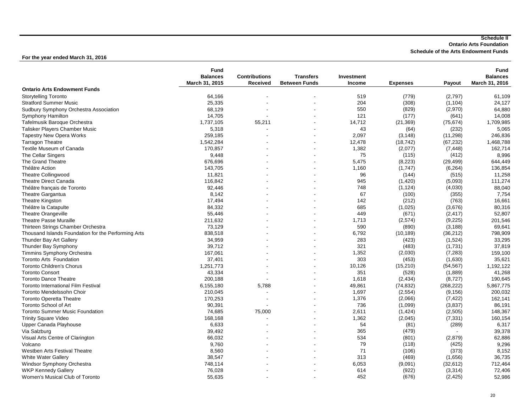**Ontario Arts Foundation**

**Schedule of the Arts Endowment Funds**

|                                                     | <b>Fund</b>                       |                                  |                                          |                      |                 |               | <b>Fund</b>                       |
|-----------------------------------------------------|-----------------------------------|----------------------------------|------------------------------------------|----------------------|-----------------|---------------|-----------------------------------|
|                                                     | <b>Balances</b><br>March 31, 2015 | <b>Contributions</b><br>Received | <b>Transfers</b><br><b>Between Funds</b> | Investment<br>Income | <b>Expenses</b> | <b>Payout</b> | <b>Balances</b><br>March 31, 2016 |
| <b>Ontario Arts Endowment Funds</b>                 |                                   |                                  |                                          |                      |                 |               |                                   |
| <b>Storytelling Toronto</b>                         | 64,166                            |                                  |                                          | 519                  | (779)           | (2,797)       | 61,109                            |
| <b>Stratford Summer Music</b>                       | 25,335                            |                                  |                                          | 204                  | (308)           | (1, 104)      | 24,127                            |
| Sudbury Symphony Orchestra Association              | 68,129                            |                                  |                                          | 550                  | (829)           | (2,970)       | 64,880                            |
| <b>Symphony Hamilton</b>                            | 14,705                            |                                  |                                          | 121                  | (177)           | (641)         | 14,008                            |
| Tafelmusik Baroque Orchestra                        | 1,737,105                         | 55,211                           |                                          | 14,712               | (21, 369)       | (75, 674)     | 1,709,985                         |
| Talisker Players Chamber Music                      | 5,318                             |                                  |                                          | 43                   | (64)            | (232)         | 5,065                             |
| <b>Tapestry New Opera Works</b>                     | 259,185                           |                                  |                                          | 2,097                | (3, 148)        | (11, 298)     | 246,836                           |
| <b>Tarragon Theatre</b>                             | 1,542,284                         |                                  |                                          | 12,478               | (18, 742)       | (67, 232)     | 1,468,788                         |
| <b>Textile Museum of Canada</b>                     | 170,857                           |                                  |                                          | 1,382                | (2,077)         | (7, 448)      | 162,714                           |
| The Cellar Singers                                  | 9,448                             |                                  |                                          | 75                   | (115)           | (412)         | 8,996                             |
| The Grand Theatre                                   | 676,696                           |                                  |                                          | 5,475                | (8, 223)        | (29, 499)     | 644,449                           |
| Théâtre Action                                      | 143,705                           |                                  |                                          | 1,160                | (1,747)         | (6, 264)      | 136,854                           |
| <b>Theatre Collingwood</b>                          | 11,821                            |                                  |                                          | 96                   | (144)           | (515)         | 11,258                            |
| <b>Theatre Direct Canada</b>                        | 116,842                           |                                  |                                          | 945                  | (1,420)         | (5,093)       | 111,274                           |
| Théâtre français de Toronto                         | 92,446                            |                                  |                                          | 748                  | (1, 124)        | (4,030)       | 88,040                            |
|                                                     | 8,142                             |                                  |                                          | 67                   |                 |               |                                   |
| <b>Theatre Gargantua</b>                            | 17,494                            |                                  |                                          | 142                  | (100)           | (355)         | 7,754                             |
| <b>Theatre Kingston</b>                             |                                   |                                  |                                          |                      | (212)           | (763)         | 16,661                            |
| Théâtre la Catapulte                                | 84,332                            |                                  |                                          | 685                  | (1,025)         | (3,676)       | 80,316                            |
| <b>Theatre Orangeville</b>                          | 55,446                            |                                  |                                          | 449                  | (671)           | (2, 417)      | 52,807                            |
| <b>Theatre Passe Muraille</b>                       | 211,632                           |                                  |                                          | 1,713                | (2,574)         | (9,225)       | 201,546                           |
| Thirteen Strings Chamber Orchestra                  | 73,129                            |                                  |                                          | 590                  | (890)           | (3, 188)      | 69,641                            |
| Thousand Islands Foundation for the Performing Arts | 838,518                           |                                  |                                          | 6,792                | (10, 189)       | (36, 212)     | 798,909                           |
| Thunder Bay Art Gallery                             | 34,959                            |                                  |                                          | 283                  | (423)           | (1,524)       | 33,295                            |
| Thunder Bay Symphony                                | 39,712                            |                                  |                                          | 321                  | (483)           | (1,731)       | 37,819                            |
| Timmins Symphony Orchestra                          | 167,061                           |                                  |                                          | 1,352                | (2,030)         | (7, 283)      | 159,100                           |
| Toronto Arts Foundation                             | 37,401                            |                                  |                                          | 303                  | (453)           | (1,630)       | 35,621                            |
| <b>Toronto Children's Chorus</b>                    | 1,251,773                         |                                  |                                          | 10,126               | (15, 210)       | (54, 567)     | 1,192,122                         |
| <b>Toronto Consort</b>                              | 43,334                            |                                  |                                          | 351                  | (528)           | (1,889)       | 41,268                            |
| <b>Toronto Dance Theatre</b>                        | 200,188                           |                                  |                                          | 1,618                | (2, 434)        | (8,727)       | 190,645                           |
| Toronto International Film Festival                 | 6,155,180                         | 5,788                            |                                          | 49,861               | (74, 832)       | (268, 222)    | 5,867,775                         |
| <b>Toronto Mendelssohn Choir</b>                    | 210,045                           |                                  |                                          | 1,697                | (2, 554)        | (9, 156)      | 200,032                           |
| <b>Toronto Operetta Theatre</b>                     | 170,253                           | $\overline{\phantom{a}}$         |                                          | 1,376                | (2,066)         | (7, 422)      | 162,141                           |
| Toronto School of Art                               | 90,391                            |                                  |                                          | 736                  | (1,099)         | (3,837)       | 86,191                            |
| <b>Toronto Summer Music Foundation</b>              | 74,685                            | 75,000                           |                                          | 2,611                | (1, 424)        | (2,505)       | 148,367                           |
| <b>Trinity Square Video</b>                         | 168,168                           |                                  |                                          | 1,362                | (2,045)         | (7, 331)      | 160,154                           |
| Upper Canada Playhouse                              | 6,633                             |                                  |                                          | 54                   | (81)            | (289)         | 6,317                             |
| Via Salzburg                                        | 39,492                            |                                  |                                          | 365                  | (479)           |               | 39,378                            |
| Visual Arts Centre of Clarington                    | 66,032                            |                                  |                                          | 534                  | (801)           | (2,879)       | 62,886                            |
| Volcano                                             | 9,760                             |                                  |                                          | 79                   | (118)           | (425)         | 9,296                             |
| Westben Arts Festival Theatre                       | 8,560                             |                                  |                                          | 71                   | (106)           | (373)         | 8,152                             |
| <b>White Water Gallery</b>                          | 38,547                            |                                  |                                          | 313                  | (469)           | (1,656)       | 36,735                            |
| Windsor Symphony Orchestra                          | 748,114                           |                                  |                                          | 6,053                | (9,091)         | (32, 612)     | 712,464                           |
| <b>WKP Kennedy Gallery</b>                          | 76,028                            |                                  |                                          | 614                  | (922)           | (3, 314)      | 72,406                            |
| Women's Musical Club of Toronto                     | 55,635                            |                                  |                                          | 452                  | (676)           | (2, 425)      | 52,986                            |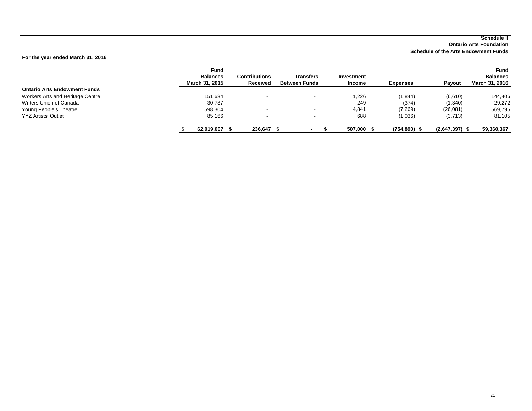**Ontario Arts Foundation Schedule of the Arts Endowment Funds**

|                                     | <b>Fund</b><br><b>Balances</b><br>March 31, 2015 | <b>Contributions</b><br><b>Received</b> | Transfers<br><b>Between Funds</b> | Investment<br><b>Income</b> | <b>Expenses</b> | <b>Pavout</b>    | <b>Fund</b><br><b>Balances</b><br>March 31, 2016 |
|-------------------------------------|--------------------------------------------------|-----------------------------------------|-----------------------------------|-----------------------------|-----------------|------------------|--------------------------------------------------|
| <b>Ontario Arts Endowment Funds</b> |                                                  |                                         |                                   |                             |                 |                  |                                                  |
| Workers Arts and Heritage Centre    | 151,634                                          |                                         | $\overline{\phantom{a}}$          | 1,226                       | (1, 844)        | (6,610)          | 144,406                                          |
| Writers Union of Canada             | 30,737                                           | $\overline{\phantom{a}}$                | $\overline{\phantom{a}}$          | 249                         | (374)           | (1,340)          | 29,272                                           |
| Young People's Theatre              | 598,304                                          |                                         | $\overline{\phantom{a}}$          | 4,841                       | (7, 269)        | (26,081)         | 569,795                                          |
| <b>YYZ Artists' Outlet</b>          | 85,166                                           | $\overline{\phantom{a}}$                | $\overline{\phantom{a}}$          | 688                         | (1,036)         | (3,713)          | 81,105                                           |
|                                     | 62.019.007                                       | 236,647                                 |                                   | 507,000 \$                  | $(754,890)$ \$  | $(2,647,397)$ \$ | 59,360,367                                       |